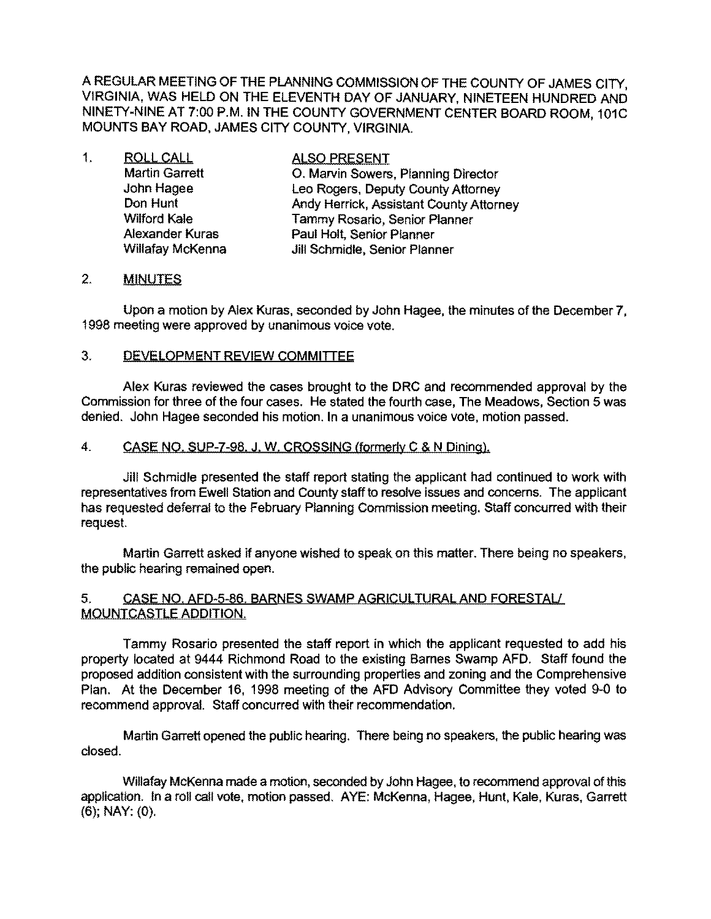A REGULAR MEETING OF THE PLANNING COMMISSION OF THE COUNTY OF JAMES CITY, VIRGINIA, WAS HELD ON THE ELEVENTH DAY OF JANUARY, NINETEEN HUNDRED AND NINETY-NINE AT 7:00 P.M. IN THE COUNTY GOVERNMENT CENTER BOARD ROOM, 101C MOUNTS BAY ROAD, JAMES CITY COUNTY, VIRGINIA.

| 1. | <b>ROLL CALL</b>        | <b>ALSO PRESENT</b>                     |
|----|-------------------------|-----------------------------------------|
|    | <b>Martin Garrett</b>   | O. Marvin Sowers, Planning Director     |
|    | John Hagee              | Leo Rogers, Deputy County Attorney      |
|    | Don Hunt                | Andy Herrick, Assistant County Attorney |
|    | <b>Wilford Kale</b>     | Tammy Rosario, Senior Planner           |
|    | <b>Alexander Kuras</b>  | Paul Holt, Senior Planner               |
|    | <b>Willafay McKenna</b> | Jill Schmidle, Senior Planner           |

## 2. MINUTES

Upon a motion by Alex Kuras, seconded by John Hagee, the minutes of the December 7, 1998 meeting were approved by unanimous voice vote.

### 3. DEVELOPMENT REVIEW COMMITTEE

Alex Kuras reviewed the cases brought to the DRC and recommended approval by the Commission for three of the four cases. He stated the fourth case, The Meadows, Section 5 was denied. John Hagee seconded his motion. In a unanimous voice vote, motion passed.

# 4. CASE NO, SUP-7-98, J. W. CROSSING (formerly C & N Dining).

Jill Schmidle presented the staff report stating the applicant had continued to work with representatives from Ewell Station and County staff to resolve issues and concerns. The applicant has requested deferral to the February Planning Commission meeting. Staff concurred with their request.

Martin Garrett asked if anyone wished to speak on this matter. There being no speakers, the public hearing remained open.

### 5. CASE NO. AFD-S-86. BARNES SWAMP AGRICULTURAL AND FORESTAU MOUNTCASTLE ADDITION.

Tammy Rosario presented the staff report in which the applicant requested to add his property located at 9444 Richmond Road to the existing Barnes Swamp AFD. Staff found the proposed addition consistent with the surrounding properties and zoning and the Comprehensive Plan. At the December 16, 1998 meeting of the AFD Advisory Committee they voted 9-0 to recommend approval. Staff concurred with their recommendation.

Martin Garrett opened the public hearing. There being no speakers, the public hearing was closed.

Willafay McKenna made a motion, seconded by John Hagee, to recommend approval of this application. In a roll call vote, motion passed. AYE: McKenna, Hagee, Hunt, Kale, Kuras, Garrett (6); NAY: (0).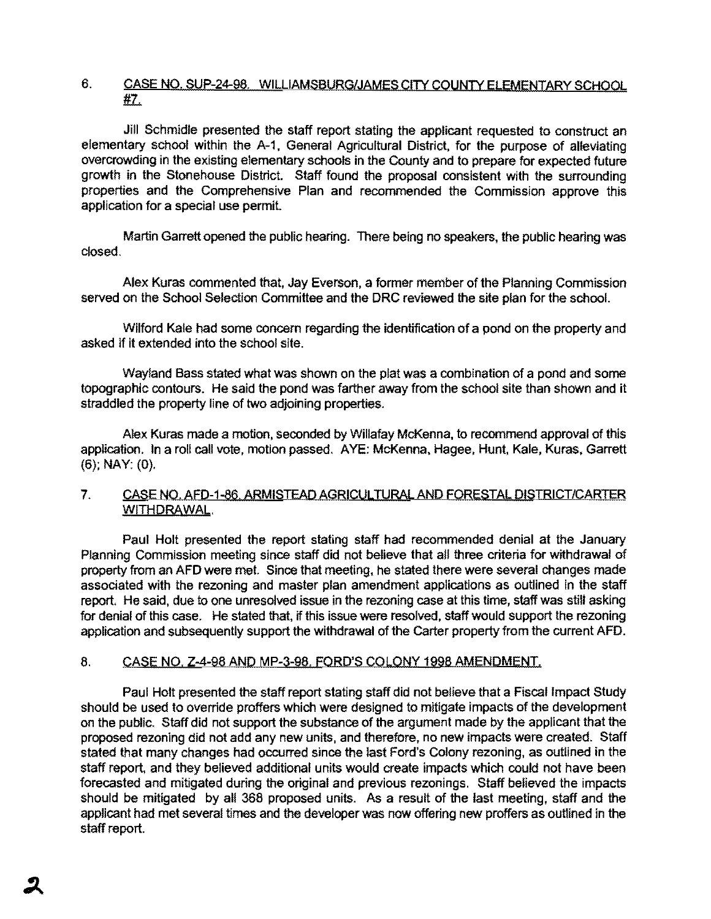## 6. CASE NO. SUP-24-98. WILLIAMSBURG/JAMES CITY COUNTY ELEMENTARY SCHOOL 1fL.

Jill Schmidle presented the staff report stating the applicant requested to construct an elementary school within the A-1. General Agricultural District, for the purpose of alleviating overcrowding in the existing elementary schools in the County and to prepare for expected future growth in the Stonehouse District. Staff found the proposal consistent with the surrounding properties and the Comprehensive Plan and recommended the Commission approve this application for a special use permit.

Martin Garrett opened the public hearing. There being no speakers, the public hearing was closed.

Alex Kuras commented that, Jay Everson, a former member of the Planning Commission served on the School Selection Committee and the DRC reviewed the site plan for the school.

Wilford Kale had some concem regarding the identification of a pond on the property and asked if it extended into the school Site.

Wayland Bass stated what was shown on the plat was a combination of a pond and some topographic contours. He said the pond was farther away from the school site than shown and it straddled the property line of two adjoining properties.

Alex Kuras made a motion, seconded by Willafay McKenna, to recommend approval of this application. In a roll call *vote,* motion passed. AYE: McKenna, Hagee, Hunt, Kale, Kuras, Garrett (6); NAY: (0).

### 7. CASE NO. AFD-1-86. ARMISTEAD AGRICULTURAL AND FORESTAL DISTRICT/CARTER WITHDRAWAL.

Paul Holt presented the report stating staff had recommended denial at the January Planning Commission meeting since staff did not believe that all three criteria for withdrawal of property from an AFD were met. Since that meeting, he stated there were several changes made associated with the rezoning and master plan amendment applications as outlined in the staff report. He said, due to one unresolved issue in the rezoning case at this time, staff was still asking for denial of this case. He stated that, if this issue were resolved, staff would support the rezoning application and subsequently support the withdrawal of the Carter property from the current AFD.

## 8. CASE NO, Z-4-98 AND MP-3-98, FORD'S COLONY 1998 AMENDMENT.

Paul Holt presented the staff report stating staff did not believe that a Fiscal Impact Study should be used to override proffers which were designed to mitigate impacts of the development on the public. Staff did not support the substance of the argument made by the applicant that the proposed rezoning did not add any new units, and therefore, no new impacts were created. Staff stated that many changes had occurred since the last Ford's Colony rezoning, as outlined in the staff report, and they believed additional units would create impacts which could not have been forecasted and mitigated during the original and previous rezonings, Staff believed the impacts should be mitigated by all 368 proposed units. As a result of the last meeting, staff and the applicant had met several times and the developer was now offering new proffers as outlined in the staff report.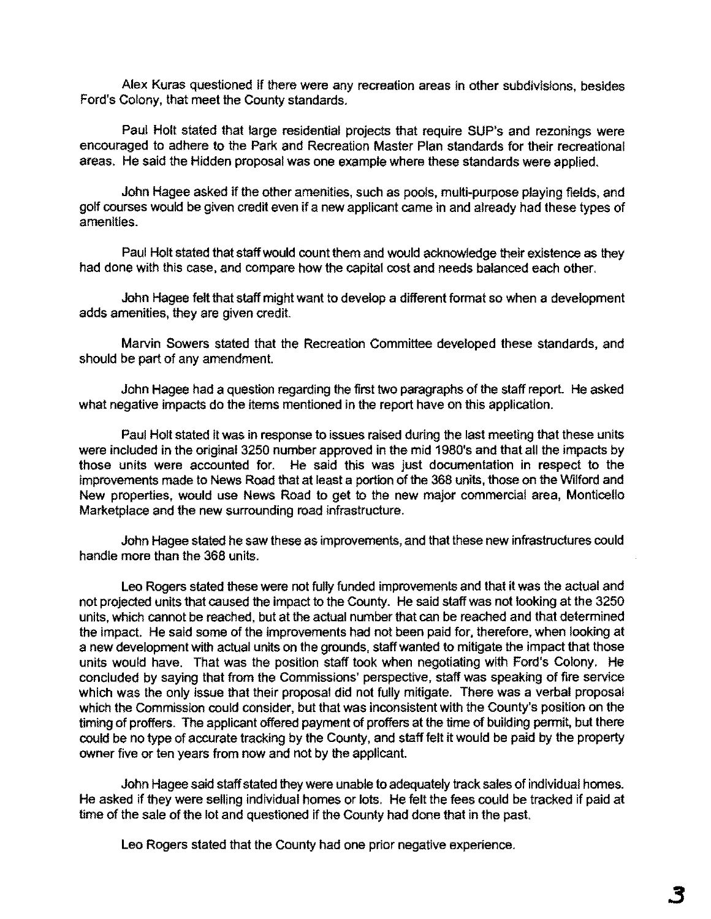Alex Kuras questioned if there were any recreation areas in other subdivisions, besides Ford's Colony, that meet the County standards.

Paul Holt stated that large residential projects that require SUP's and rezonings were encouraged to adhere to the Park and Recreation Master Plan standards for their recreational areas. He said the Hidden proposal was one example where these standards were applied.

John Hagee asked if the other amenities, such as pools, multi-purpose playing fields, and golf courses would be given credit even if a new applicant came in and already had these types of amenities.

Paul Holt stated that staff would count them and would acknowledge their existence as they had done with this case, and compare how the capital cost and needs balanced each other.

John Hagee felt that staff might want to develop a different format so when a development adds amenities, they are given credit.

Marvin Sowers stated that the Recreation Committee developed these standards, and should be part of any amendment.

John Hagee had a question regarding the first two paragraphs of the staff report. He asked what negative impacts do the items mentioned in the report have on this application.

Paul Holt stated it was in response to issues raised during the last meeting that these units were included in the original 3250 number approved in the mid 1980's and that all the impacts by those units were accounted for. He said this was just documentation in respect to the improvements made to News Road that at least a portion of the 368 units, those on the Wilford and New properties, would use News Road to get to the new major commercial area, Monticello Marketplace and the new surrounding road infrastructure.

John Hagee stated he saw these as improvements, and that these new infrastructures could handle more than the 368 units.

Leo Rogers stated these were not fully funded improvements and that it was the actual and not projected units that caused the impact to the County. He said staff was not looking at the 3250 units, which cannot be reached, but at the actual number that can be reached and that determined the impact. He said some of the improvements had not been paid for, therefore, when looking at a new development with actual units on the grounds, staff wanted to mitigate the impact that those units would have. That was the position staff took when negotiating with Ford's Colony. He concluded by saying that from the Commissions' perspective, staff was speaking of fire service which was the only issue that their proposal did not fully mitigate. There was a verbal proposal which the Commission could consider, but that was inconsistent with the County's position on the timing of proffers. The applicant offered payment of proffers at the time of building permit, but there could be no type of accurate tracking by the County, and staff felt it would be paid by the property owner five or ten years from now and not by the applicant.

John Hagee said staff stated they were unable to adequately track sales of individual homes. He asked if they were selling individual homes or lots. He felt the fees could be tracked if paid at time of the sale of the lot and questioned if the County had done that in the past.

Leo Rogers stated that the County had one prior negative experience.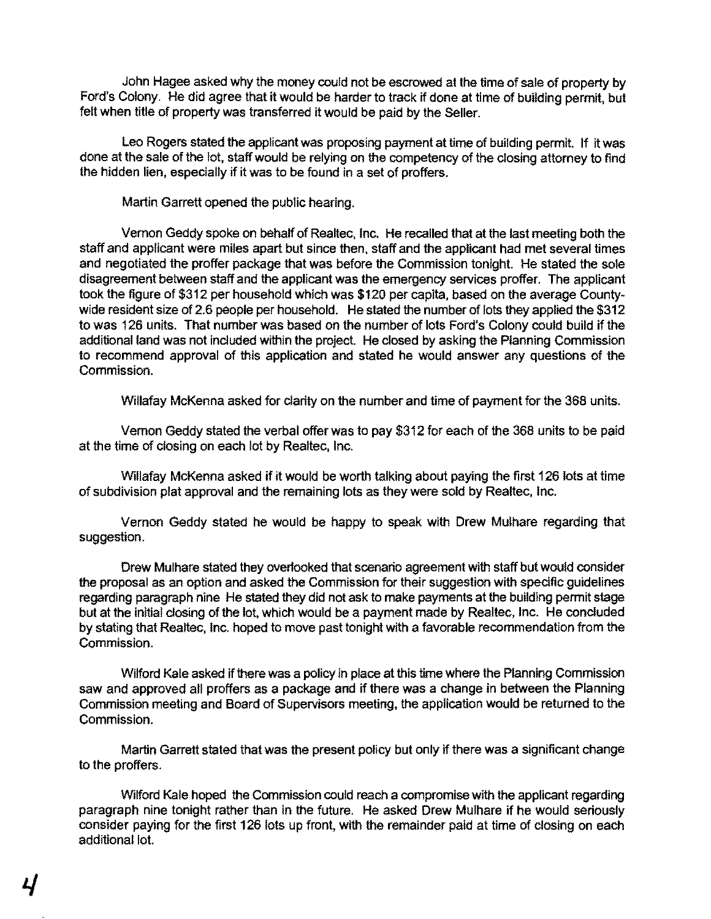John Hagee asked why the money could not be escrowed at the time of sale of property by Ford's Colony. He did agree that it would be harder to track if done at time of building permit, but felt when title of property was transferred it would be paid by the Seller.

Leo Rogers stated the applicant was proposing payment at time of building permit. If it was done at the sale of the lot, staff would be relying on the competency of the closing attomey to find the hidden lien, especially if it was to be found in a set of proffers.

Martin Garrett opened the public hearing.

Vernon Geddy spoke on behalf of Realtec, Inc. He recalled that at the last meeting both the staff and applicant were miles apart but since then. staff and the applicant had met several times and negotiated the proffer package that was before the Commission tonight. He stated the sole disagreement between staff and the applicant was the emergency services proffer. The applicant took the figure of \$312 per household which was \$120 per capita, based on the average Countywide resident size of 2.6 people per household. He stated the number of lots they applied the \$312 to was 126 units. That number was based on the number of lots Ford's Colony could build if the additional land was not included within the project. He closed by asking the Planning Commission to recommend approval of this application and stated he would answer any questions of the Commission.

Willafay McKenna asked for clarity on the number and time of payment for the 368 units.

Vemon Geddy stated the verbal offer was to pay \$312 for each of the 368 units to be paid at the time of closing on each lot by Realtec. Inc.

Willafay McKenna asked if it would be worth talking about paying the first 126 lots at time of subdivision plat approval and the remaining lots as they were sold by Realtec, Inc.

Vernon Geddy stated he would be happy to speak with Drew Mulhare regarding that suggestion.

Drew Mulhare stated they overlooked that scenario agreement with staff but would consider the proposal as an option and asked the Commission for their suggestion with specific guidelines regarding paragraph nine He stated they did not ask to make payments at the building permit stage but at the initial closing of the lot. which would be a payment made by Realtec. Inc. He concluded by stating that Realtec, Inc. hoped to move past tonight with a favorable recommendation from the Commission.

Wilford Kale asked if there was a policy in place at this time where the Planning Commission saw and approved all proffers as a package and if there was a change in between the Planning Commission meeting and Board of Supervisors meeting, the application would be returned to the Commission.

Martin Garrett stated that was the present policy but only if there was a Significant change to the proffers.

Wilford Kale hoped the Commission could reach a compromise with the applicant regarding paragraph nine tonight rather than in the future. He asked Drew Mulhare if he would seriously consider paying for the first 126 lots up front. with the remainder paid at time of closing on each additional lot.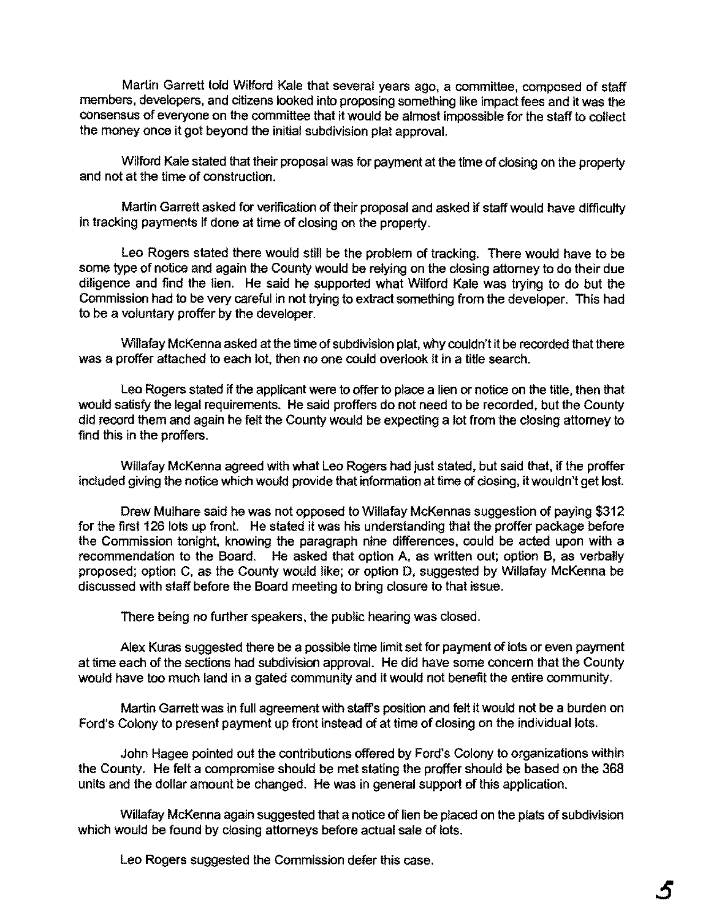Martin Garrett told Wilford Kale that several years ago, a committee, composed of staff members, developers, and citizens looked into proposing something like impact fees and it was the consensus of everyone on the committee that it would be almost impossible for the staff to collect the money once it got beyond the initial subdivision plat approval.

Wilford Kale stated that their proposal was for payment at the time of closing on the property and not at the time of construction.

Martin Garrett asked for verification of their proposal and asked if staff would have difficulty in tracking payments if done at time of closing on the property.

Leo Rogers stated there would still be the problem of tracking. There would have to be some type of notice and again the County would be relying on the closing attomey to do their due diligence and find the lien. He said he supported what Wilford Kale was trying to do but the Commission had to be very careful in not trying to extract something from the developer. This had to be a voluntary proffer by the developer.

Willafay McKenna asked at the time of subdivision plat, why couldn't it be recorded that there was a proffer attached to each lot, then no one could overlook it in a title search.

Leo Rogers stated if the applicant were to offer to place a lien or notice on the title, then that would satisfy the legal requirements. He said proffers do not need to be recorded, but the County did record them and again he felt the County would be expecting a lot from the closing attorney to find this in the proffers.

Willafay McKenna agreed with what Leo Rogers had just stated, but said that, if the proffer inCluded giving the notice which would provide that information at time of closing, it wouldn't get lost.

Drew Mulhare said he was not opposed to Willafay McKennas suggestion of paying \$312 for the first 126 lots up front. He stated it was his understanding that the proffer package before the Commission tonight, knowing the paragraph nine differences, could be acted upon with a recommendation to the Board. He asked that option A, as written out; option B, as verbally proposed; option C, as the County would like; or option D, suggested by Willafay McKenna be discussed with staff before the Board meeting to bring closure to that issue.

There being no further speakers, the public hearing was closed.

Alex Kuras suggested there be a possible time limit set for payment of lots or even payment at time each of the sections had subdivision approval. He did have some concern that the County would have too much land in a gated community and it would not benefit the entire community.

Martin Garrett was in full agreement with staff's position and felt it would not be a burden on Ford's Colony to present payment up front instead of at time of closing on the individual lots.

John Hagee pointed out the contributions offered by Ford's Colony to organizations within the County. He felt a compromise should be met stating the proffer should be based on the 368 units and the dollar amount be changed. He was in general support of this application.

Willafay McKenna again suggested that a notice of lien be placed on the plats of subdivision which would be found by closing attorneys before actual sale of lots.

Leo Rogers suggested the Commission defer this case.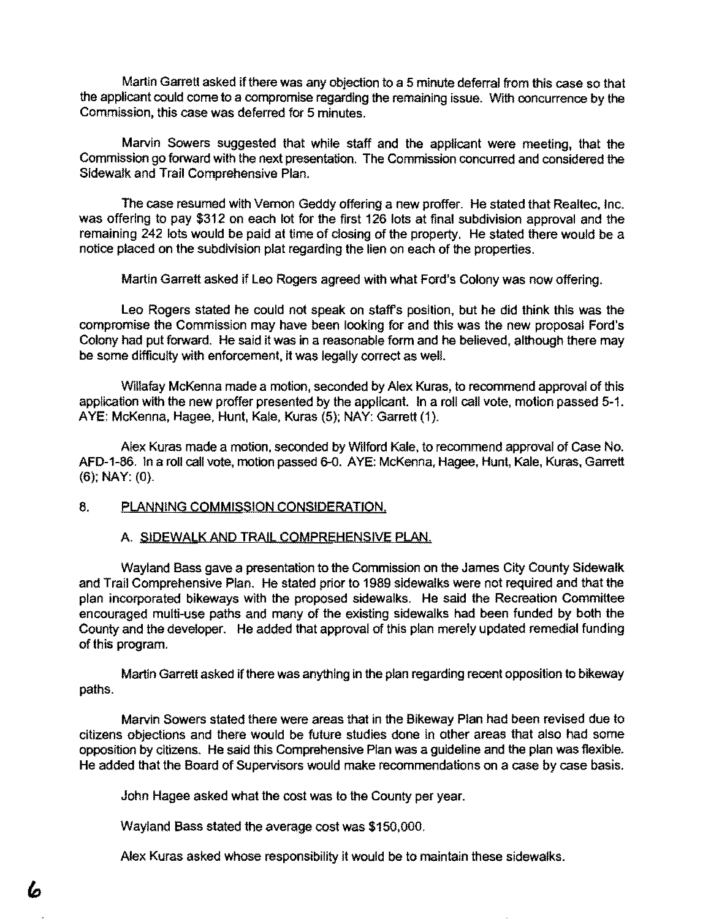Martin Garrett asked if there was any objection to a 5 minute deferral from this case so that the applicant could come to a compromise regarding the remaining issue. With concurrence by the Commission, this case was deferred for 5 minutes.

Marvin Sowers suggested that while staff and the applicant were meeting, that the Commission go forward with the next presentation. The Commission concurred and considered the Sidewalk and Trail Comprehensive Plan.

The case resumed with Vemon Geddy offering a new proffer. He stated that Realtec, Inc. was offering to pay \$312 on each lot for the first 126 lots at final subdivision approval and the remaining 242 lots would be paid at time of closing of the property. He stated there would be a notice placed on the subdivision plat regarding the lien on each of the properties.

Martin Garrett asked if Leo Rogers agreed with what Ford's Colony was now offering.

Leo Rogers stated he could not speak on staffs position, but he did think this was the compromise the Commission may have been looking for and this was the new proposal Ford's Colony had put forward. He said it was in a reasonable form and he believed, although there may be some difficulty with enforcement, it was legally correct as well.

Willafay McKenna made a motion, seconded by Alex Kuras, to recommend approval of this application with the new proffer presented by the applicant. In a roll call vote, motion passed 5-1. AYE: McKenna, Hagee, Hunt, Kale, Kuras (5); NAY: Garrett (1).

Alex Kuras made a motion, seconded by Wilford Kale, to recommend approval of Case No. AFD-1-86. In a roll call vote, motion passed 6-0. AYE: McKenna, Hagee, Hunt, Kale, Kuras, Garrett (6); NAY: (0).

## 8. PLANNING COMMISSION CONSIDERATION.

#### A. SIDEWALK AND TRAIL COMPREHENSIVE PLAN.

Wayland Bass gave a presentation to the Commission on the James City County Sidewalk and Trail Comprehensive Plan. He stated prior to 1989 sidewalks were not required and that the plan incorporated bikeways with the proposed sidewalks. He said the Recreation Committee encouraged multi-use paths and many of the existing sidewalks had been funded by both the County and the developer. He added that approval of this plan merely updated remedial funding of this program.

Martin Garrett asked ifthere was anything in the plan regarding recent opposition to bikeway paths.

Marvin Sowers stated there were areas that in the Bikeway Plan had been revised due to citizens objections and there would be future studies done in other areas that also had some opposition by citizens. He said this Comprehensive Plan was a guideline and the plan was flexible. He added that the Board of Supervisors would make recommendations on a case by case basis.

John Hagee asked what the cost was to the County per year.

Wayland Bass stated the average cost was \$150,000.

Alex Kuras asked whose responsibility it would be to maintain these sidewalks.